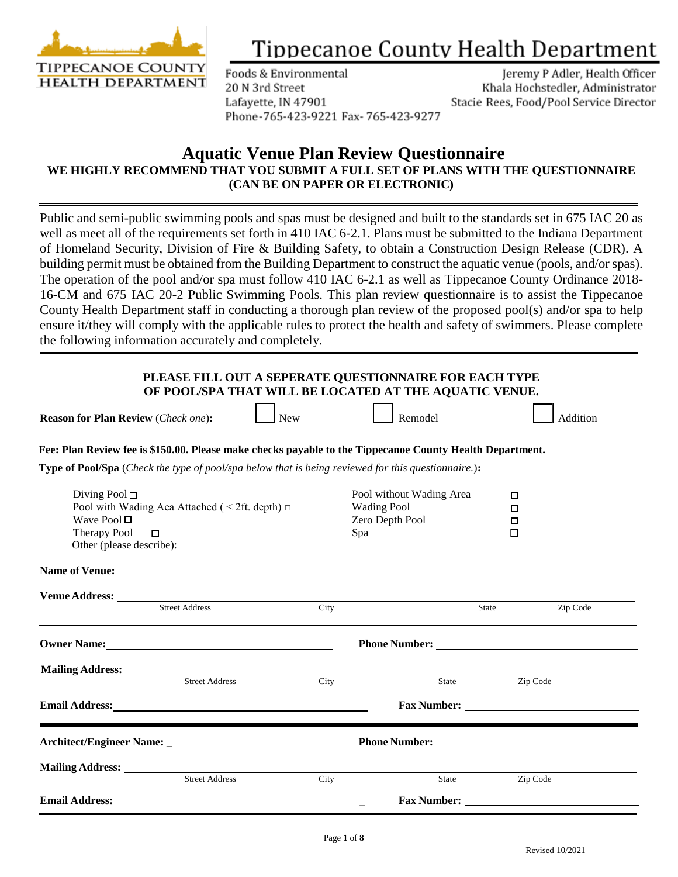

## **Tippecanoe County Health Department**

Foods & Environmental 20 N 3rd Street Lafayette, IN 47901 Phone-765-423-9221 Fax-765-423-9277

Jeremy P Adler, Health Officer Khala Hochstedler, Administrator Stacie Rees, Food/Pool Service Director

## **Aquatic Venue Plan Review Questionnaire WE HIGHLY RECOMMEND THAT YOU SUBMIT A FULL SET OF PLANS WITH THE QUESTIONNAIRE (CAN BE ON PAPER OR ELECTRONIC)**

Public and semi-public swimming pools and spas must be designed and built to the standards set in 675 IAC 20 as well as meet all of the requirements set forth in 410 IAC 6-2.1. Plans must be submitted to the Indiana Department of Homeland Security, Division of Fire & Building Safety, to obtain a Construction Design Release (CDR). A building permit must be obtained from the Building Department to construct the aquatic venue (pools, and/or spas). The operation of the pool and/or spa must follow 410 IAC 6-2.1 as well as Tippecanoe County Ordinance 2018- 16-CM and 675 IAC 20-2 Public Swimming Pools. This plan review questionnaire is to assist the Tippecanoe County Health Department staff in conducting a thorough plan review of the proposed pool(s) and/or spa to help ensure it/they will comply with the applicable rules to protect the health and safety of swimmers. Please complete the following information accurately and completely.

| PLEASE FILL OUT A SEPERATE QUESTIONNAIRE FOR EACH TYPE |
|--------------------------------------------------------|
| OF POOL/SPA THAT WILL BE LOCATED AT THE AQUATIC VENUE. |

| <b>Reason for Plan Review (Check one):</b> |  | l New |  | Remodel |  | Addition |
|--------------------------------------------|--|-------|--|---------|--|----------|
|--------------------------------------------|--|-------|--|---------|--|----------|

 **Fee: Plan Review fee is \$150.00. Please make checks payable to the Tippecanoe County Health Department.**

 **Type of Pool/Spa** (*Check the type of pool/spa below that is being reviewed for this questionnaire.*)**:** 

| Diving Pool $\Box$<br>Wave Pool $\Box$<br>Therapy Pool $\Box$ | Pool with Wading Aea Attached ( $\leq$ 2ft. depth) $\Box$ |      | Pool without Wading Area<br><b>Wading Pool</b><br>Zero Depth Pool<br>Spa |       | $\Box$<br>□<br>□<br>□                                                                                                                                                                                                          |
|---------------------------------------------------------------|-----------------------------------------------------------|------|--------------------------------------------------------------------------|-------|--------------------------------------------------------------------------------------------------------------------------------------------------------------------------------------------------------------------------------|
|                                                               |                                                           |      |                                                                          |       |                                                                                                                                                                                                                                |
|                                                               | <b>Street Address</b>                                     | City |                                                                          | State | Zip Code                                                                                                                                                                                                                       |
|                                                               |                                                           |      |                                                                          |       |                                                                                                                                                                                                                                |
|                                                               |                                                           |      | State                                                                    |       | Zip Code                                                                                                                                                                                                                       |
|                                                               |                                                           |      |                                                                          |       |                                                                                                                                                                                                                                |
|                                                               |                                                           |      |                                                                          |       | Phone Number: New York Changes and School School School School School School School School School School School School School School School School School School School School School School School School School School Schoo |
|                                                               | <b>Street Address</b>                                     | City | State                                                                    |       | Zip Code                                                                                                                                                                                                                       |
| <b>Email Address:</b>                                         |                                                           |      | <b>Fax Number:</b>                                                       |       |                                                                                                                                                                                                                                |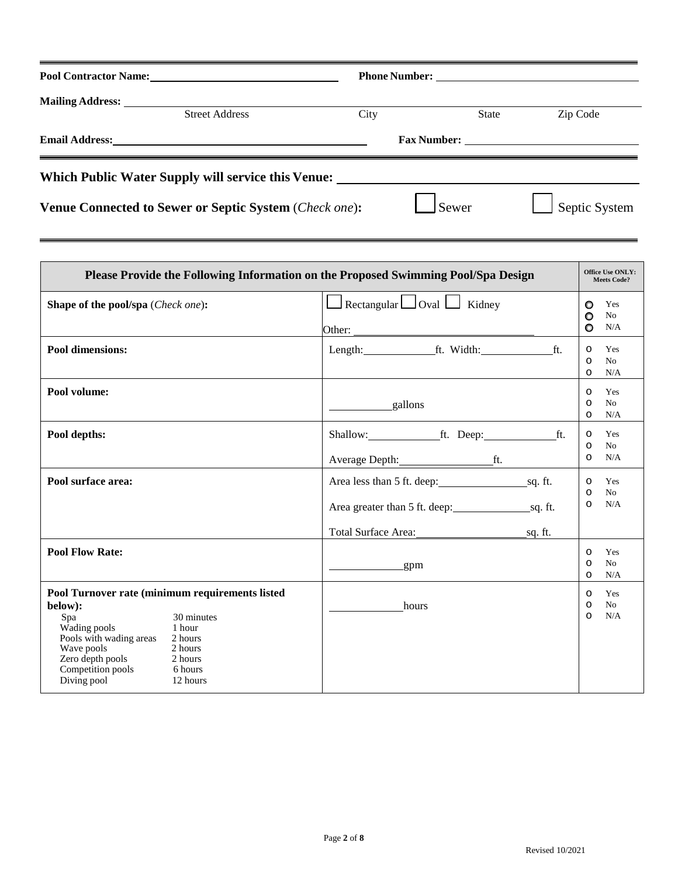| Pool Contractor Name:                                                             |      |              |               |
|-----------------------------------------------------------------------------------|------|--------------|---------------|
|                                                                                   |      |              |               |
| <b>Street Address</b>                                                             | City | <b>State</b> | Zip Code      |
|                                                                                   |      |              |               |
| Which Public Water Supply will service this Venue: ______________________________ |      |              |               |
| Venue Connected to Sewer or Septic System (Check one):                            |      | Sewer        | Septic System |

|                                                                                                                                                                                    |                                                                              | Please Provide the Following Information on the Proposed Swimming Pool/Spa Design |                               | <b>Office Use ONLY:</b><br><b>Meets Code?</b> |
|------------------------------------------------------------------------------------------------------------------------------------------------------------------------------------|------------------------------------------------------------------------------|-----------------------------------------------------------------------------------|-------------------------------|-----------------------------------------------|
| Shape of the pool/spa (Check one):                                                                                                                                                 |                                                                              | $\Box$ Rectangular $\Box$ Oval $\Box$ Kidney                                      | $\circ$<br>$\circ$<br>$\circ$ | Yes<br>N <sub>0</sub><br>N/A                  |
| <b>Pool dimensions:</b>                                                                                                                                                            |                                                                              | Length: ft. Width: ft.                                                            | $\circ$<br>$\circ$<br>$\circ$ | Yes<br>No<br>N/A                              |
| Pool volume:                                                                                                                                                                       |                                                                              | gallons                                                                           | $\circ$<br>$\circ$<br>$\circ$ | Yes<br>No<br>N/A                              |
| Pool depths:                                                                                                                                                                       |                                                                              | Shallow: ft. Deep: ft.                                                            | $\circ$<br>$\circ$<br>$\circ$ | Yes<br>N <sub>0</sub><br>N/A                  |
| Pool surface area:                                                                                                                                                                 |                                                                              | Area less than 5 ft. deep: sq. ft.<br>Total Surface Area:<br>sq. ft.              | $\circ$<br>$\circ$<br>$\circ$ | Yes<br>No<br>N/A                              |
| <b>Pool Flow Rate:</b>                                                                                                                                                             |                                                                              | <u>example</u> and gpm                                                            | $\circ$<br>$\circ$<br>$\circ$ | Yes<br>No<br>N/A                              |
| Pool Turnover rate (minimum requirements listed<br>below):<br>Spa<br>Wading pools<br>Pools with wading areas<br>Wave pools<br>Zero depth pools<br>Competition pools<br>Diving pool | 30 minutes<br>1 hour<br>2 hours<br>2 hours<br>2 hours<br>6 hours<br>12 hours | hours                                                                             | $\circ$<br>$\circ$<br>$\circ$ | Yes<br>No<br>N/A                              |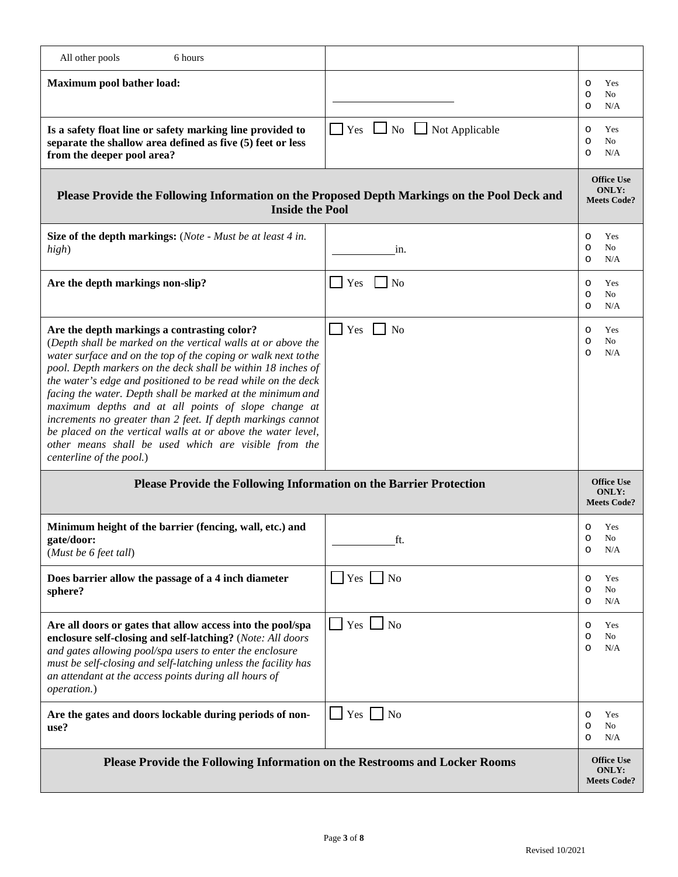| All other pools<br>6 hours                                                                                                                                                                                                                                                                                                                                                                                                                                                                                                                                                                                                                            |                                           |                                                         |
|-------------------------------------------------------------------------------------------------------------------------------------------------------------------------------------------------------------------------------------------------------------------------------------------------------------------------------------------------------------------------------------------------------------------------------------------------------------------------------------------------------------------------------------------------------------------------------------------------------------------------------------------------------|-------------------------------------------|---------------------------------------------------------|
| Maximum pool bather load:                                                                                                                                                                                                                                                                                                                                                                                                                                                                                                                                                                                                                             |                                           | Yes<br>$\circ$<br>No<br>$\circ$<br>N/A<br>$\circ$       |
| Is a safety float line or safety marking line provided to<br>separate the shallow area defined as five (5) feet or less<br>from the deeper pool area?                                                                                                                                                                                                                                                                                                                                                                                                                                                                                                 | $Yes \t\t\Box No \t\t\Box Not Applicable$ | Yes<br>$\circ$<br>$\circ$<br>No<br>N/A<br>$\circ$       |
| Please Provide the Following Information on the Proposed Depth Markings on the Pool Deck and<br><b>Inside the Pool</b>                                                                                                                                                                                                                                                                                                                                                                                                                                                                                                                                |                                           | <b>Office Use</b><br><b>ONLY:</b><br><b>Meets Code?</b> |
| <b>Size of the depth markings:</b> (Note - Must be at least 4 in.<br>high)                                                                                                                                                                                                                                                                                                                                                                                                                                                                                                                                                                            | in.                                       | Yes<br>$\circ$<br>No<br>$\circ$<br>N/A<br>$\circ$       |
| Are the depth markings non-slip?                                                                                                                                                                                                                                                                                                                                                                                                                                                                                                                                                                                                                      | Yes<br>N <sub>0</sub>                     | Yes<br>$\circ$<br>No<br>$\circ$<br>N/A<br>$\circ$       |
| Are the depth markings a contrasting color?<br>(Depth shall be marked on the vertical walls at or above the<br>water surface and on the top of the coping or walk next to the<br>pool. Depth markers on the deck shall be within 18 inches of<br>the water's edge and positioned to be read while on the deck<br>facing the water. Depth shall be marked at the minimum and<br>maximum depths and at all points of slope change at<br>increments no greater than 2 feet. If depth markings cannot<br>be placed on the vertical walls at or above the water level,<br>other means shall be used which are visible from the<br>centerline of the pool.) | Yes<br>No                                 | Yes<br>$\circ$<br>No<br>$\circ$<br>$\circ$<br>N/A       |
| Please Provide the Following Information on the Barrier Protection                                                                                                                                                                                                                                                                                                                                                                                                                                                                                                                                                                                    |                                           | <b>Office Use</b><br><b>ONLY:</b><br><b>Meets Code?</b> |
| Minimum height of the barrier (fencing, wall, etc.) and<br>gate/door:<br>(Must be $6$ feet tall)                                                                                                                                                                                                                                                                                                                                                                                                                                                                                                                                                      | ft.                                       | Yes<br>$\circ$<br>$\circ$<br>No<br>N/A<br>$\circ$       |
| Does barrier allow the passage of a 4 inch diameter<br>sphere?                                                                                                                                                                                                                                                                                                                                                                                                                                                                                                                                                                                        | $Yes \tNo$                                | Yes<br>$\circ$<br>No<br>O<br>N/A<br>O                   |
| Are all doors or gates that allow access into the pool/spa<br>enclosure self-closing and self-latching? (Note: All doors<br>and gates allowing pool/spa users to enter the enclosure<br>must be self-closing and self-latching unless the facility has<br>an attendant at the access points during all hours of<br>operation.)                                                                                                                                                                                                                                                                                                                        | $Yes \Box No$                             | Yes<br>$\circ$<br>No<br>$\circ$<br>N/A<br>$\circ$       |
| Are the gates and doors lockable during periods of non-<br>use?                                                                                                                                                                                                                                                                                                                                                                                                                                                                                                                                                                                       | $Yes \Box No$                             | Yes<br>$\circ$<br>No<br>O<br>N/A<br>$\circ$             |
| Please Provide the Following Information on the Restrooms and Locker Rooms                                                                                                                                                                                                                                                                                                                                                                                                                                                                                                                                                                            |                                           | <b>Office Use</b><br><b>ONLY:</b><br><b>Meets Code?</b> |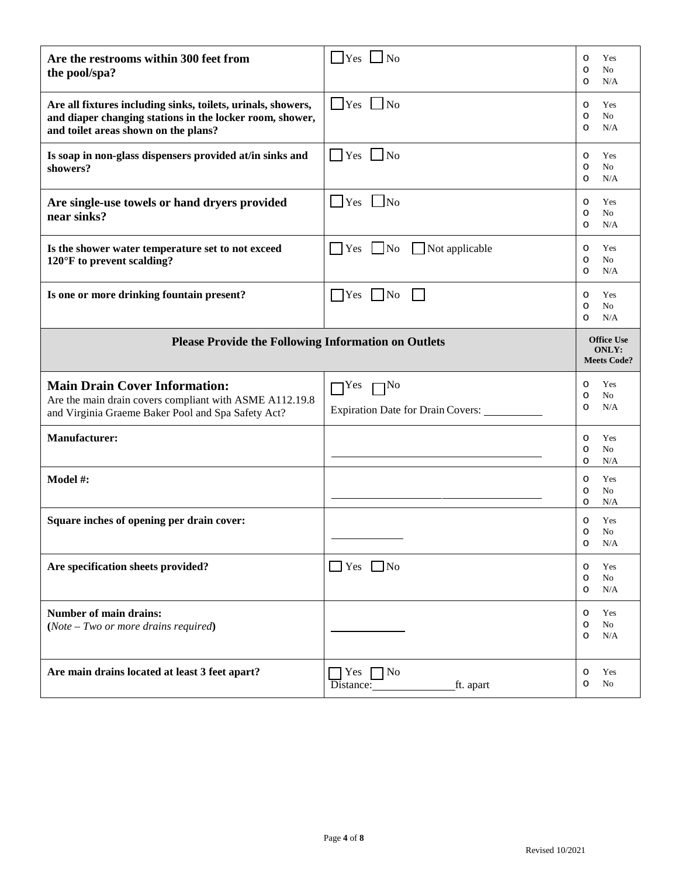| Are the restrooms within 300 feet from<br>the pool/spa?                                                                                                          | $\vert$ Yes $\vert$ No                                    | Yes<br>$\circ$<br>No<br>O<br>N/A<br>O                   |
|------------------------------------------------------------------------------------------------------------------------------------------------------------------|-----------------------------------------------------------|---------------------------------------------------------|
| Are all fixtures including sinks, toilets, urinals, showers,<br>and diaper changing stations in the locker room, shower,<br>and toilet areas shown on the plans? | $\Box$ Yes $\Box$ No                                      | Yes<br>$\circ$<br>No<br>$\circ$<br>N/A<br>$\circ$       |
| Is soap in non-glass dispensers provided at/in sinks and<br>showers?                                                                                             | $\blacksquare$ Yes $\blacksquare$ No                      | Yes<br>$\circ$<br>No<br>O<br>N/A<br>$\circ$             |
| Are single-use towels or hand dryers provided<br>near sinks?                                                                                                     | $\Box$ Yes $\Box$ No                                      | Yes<br>$\circ$<br>No<br>O<br>N/A<br>$\circ$             |
| Is the shower water temperature set to not exceed<br>$120^{\circ}$ F to prevent scalding?                                                                        | Not applicable<br>$\Box$ Yes $\Box$ No                    | Yes<br>$\circ$<br>No<br>O<br>N/A<br>$\circ$             |
| Is one or more drinking fountain present?                                                                                                                        | $Yes$   No                                                | Yes<br>$\circ$<br>No<br>O<br>N/A<br>O                   |
| <b>Please Provide the Following Information on Outlets</b>                                                                                                       |                                                           | <b>Office Use</b><br><b>ONLY:</b><br><b>Meets Code?</b> |
|                                                                                                                                                                  |                                                           |                                                         |
| <b>Main Drain Cover Information:</b><br>Are the main drain covers compliant with ASME A112.19.8<br>and Virginia Graeme Baker Pool and Spa Safety Act?            | $\Box$ Yes $\Box$ No<br>Expiration Date for Drain Covers: | Yes<br>$\circ$<br>No<br>O<br>N/A<br>O                   |
| <b>Manufacturer:</b>                                                                                                                                             |                                                           | Yes<br>$\circ$<br>No<br>O<br>N/A<br>O                   |
| Model #:                                                                                                                                                         |                                                           | Yes<br>$\circ$<br>No<br>O<br>N/A<br>O                   |
| Square inches of opening per drain cover:                                                                                                                        |                                                           | Yes<br>$\circ$<br>No<br>O<br>$\circ$<br>N/A             |
| Are specification sheets provided?                                                                                                                               | $\Box$ Yes $\Box$ No                                      | Yes<br>$\circ$<br>No<br>$\circ$<br>N/A<br>$\circ$       |
| <b>Number of main drains:</b><br>$(Note - Two or more drawings required)$                                                                                        |                                                           | Yes<br>$\circ$<br>No<br>$\circ$<br>N/A<br>$\circ$       |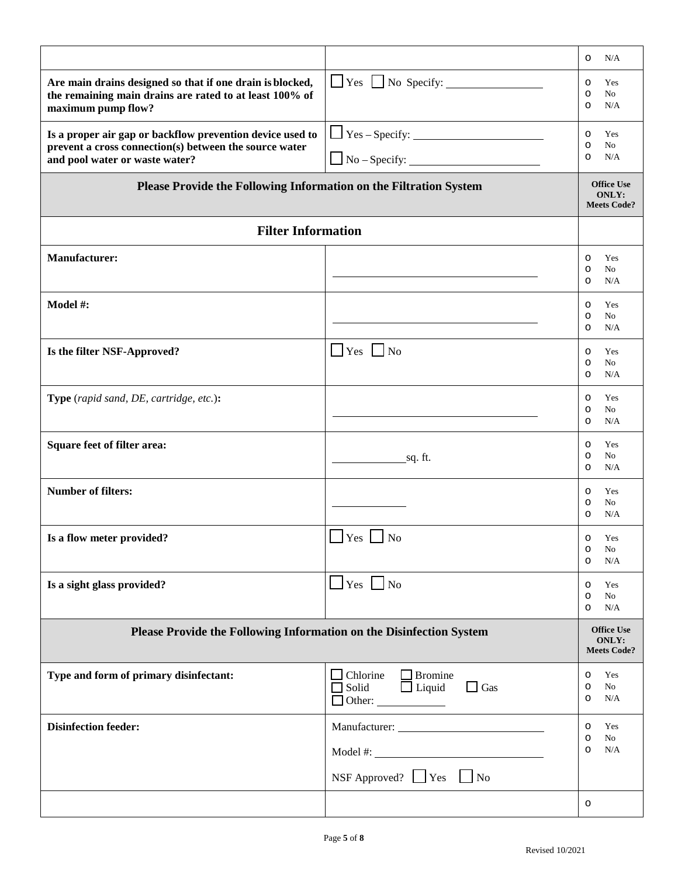|                                                                                                                                                       |                                                                              | N/A<br>$\circ$                                          |
|-------------------------------------------------------------------------------------------------------------------------------------------------------|------------------------------------------------------------------------------|---------------------------------------------------------|
| Are main drains designed so that if one drain is blocked,<br>the remaining main drains are rated to at least 100% of<br>maximum pump flow?            | $\Box$ Yes $\Box$ No Specify: $\_\_\_\_\_\_\_\_\_\_\_\_\_\_\_\_\_\_\_\_\_\_$ | Yes<br>$\circ$<br>No<br>$\circ$<br>N/A<br>$\circ$       |
| Is a proper air gap or backflow prevention device used to<br>prevent a cross connection(s) between the source water<br>and pool water or waste water? | $\Box$ Yes – Specify: $\Box$                                                 | Yes<br>$\circ$<br>No<br>$\circ$<br>N/A<br>$\circ$       |
| Please Provide the Following Information on the Filtration System                                                                                     |                                                                              | <b>Office Use</b><br><b>ONLY:</b><br><b>Meets Code?</b> |
| <b>Filter Information</b>                                                                                                                             |                                                                              |                                                         |
| <b>Manufacturer:</b>                                                                                                                                  |                                                                              | Yes<br>$\circ$<br>No<br>O<br>N/A<br>$\circ$             |
| Model #:                                                                                                                                              |                                                                              | Yes<br>$\circ$<br>No<br>$\circ$<br>N/A<br>$\circ$       |
| Is the filter NSF-Approved?                                                                                                                           | $\Box$ Yes $\Box$ No                                                         | Yes<br>O<br>No<br>O<br>N/A<br>$\circ$                   |
| Type (rapid sand, DE, cartridge, etc.):                                                                                                               |                                                                              | Yes<br>$\circ$<br>No<br>O<br>N/A<br>$\circ$             |
| <b>Square feet of filter area:</b>                                                                                                                    | <u>sq. ft.</u>                                                               | Yes<br>O<br>No<br>O<br>N/A<br>$\circ$                   |
| <b>Number of filters:</b>                                                                                                                             |                                                                              | Yes<br>$\circ$<br>No<br>O<br>N/A<br>O                   |
| Is a flow meter provided?                                                                                                                             | $\Box$ Yes $\Box$ No                                                         | Yes<br>$\circ$<br>No<br>$\circ$<br>N/A<br>$\circ$       |
| Is a sight glass provided?                                                                                                                            | $\Box$ Yes $\Box$ No                                                         | Yes<br>$\circ$<br>No<br>O<br>N/A<br>$\circ$             |
| Please Provide the Following Information on the Disinfection System                                                                                   |                                                                              | <b>Office Use</b><br><b>ONLY:</b><br><b>Meets Code?</b> |
| Type and form of primary disinfectant:                                                                                                                | $\Box$ Chlorine $\Box$ Bromine<br>Solid Duquid DGas                          | Yes<br>$\circ$<br>$\rm No$<br>$\circ$<br>N/A<br>$\circ$ |
| <b>Disinfection feeder:</b>                                                                                                                           |                                                                              | Yes<br>$\circ$<br>$\rm No$<br>$\circ$                   |
|                                                                                                                                                       |                                                                              | N/A<br>$\circ$                                          |
|                                                                                                                                                       | NSF Approved? $\Box$ Yes $\Box$ No                                           |                                                         |
|                                                                                                                                                       |                                                                              | $\circ$                                                 |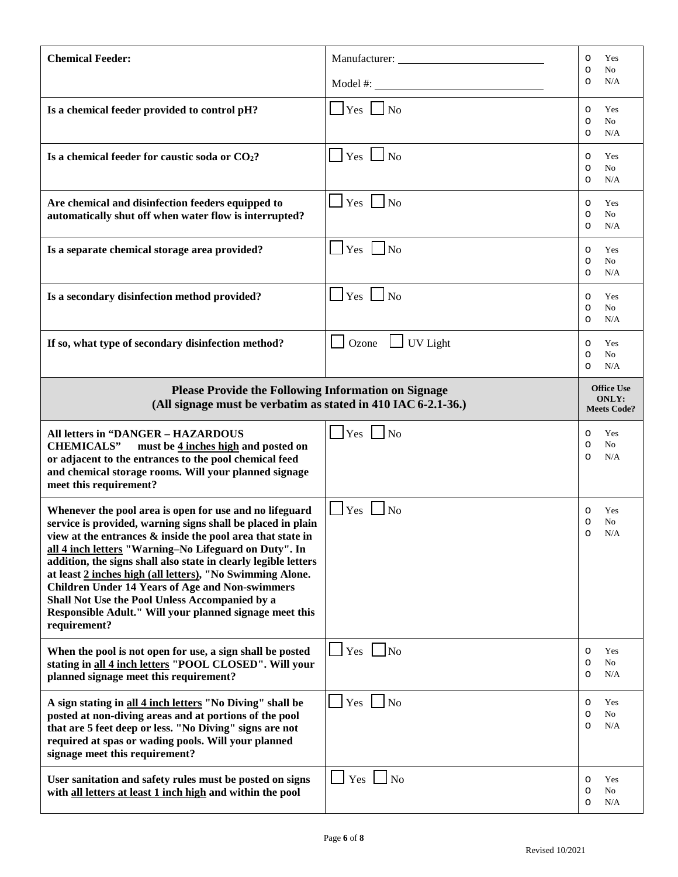| <b>Chemical Feeder:</b>                                                                                                                                                                                                                                                                                                                                                                                                                                                                                                                                              |                          | Yes<br>O<br>N <sub>0</sub><br>$\circ$                   |  |
|----------------------------------------------------------------------------------------------------------------------------------------------------------------------------------------------------------------------------------------------------------------------------------------------------------------------------------------------------------------------------------------------------------------------------------------------------------------------------------------------------------------------------------------------------------------------|--------------------------|---------------------------------------------------------|--|
|                                                                                                                                                                                                                                                                                                                                                                                                                                                                                                                                                                      |                          | N/A<br>$\circ$                                          |  |
| Is a chemical feeder provided to control pH?                                                                                                                                                                                                                                                                                                                                                                                                                                                                                                                         | $\Box$ Yes $\Box$ No     | Yes<br>$\circ$<br>No<br>$\circ$<br>N/A<br>O             |  |
| Is a chemical feeder for caustic soda or CO2?                                                                                                                                                                                                                                                                                                                                                                                                                                                                                                                        | $\Box$ Yes $\Box$ No     | Yes<br>$\circ$<br>No<br>$\circ$<br>N/A<br>O             |  |
| Are chemical and disinfection feeders equipped to<br>automatically shut off when water flow is interrupted?                                                                                                                                                                                                                                                                                                                                                                                                                                                          | $\Box$ Yes $\Box$ No     | Yes<br>O<br>No<br>$\circ$<br>N/A<br>O                   |  |
| Is a separate chemical storage area provided?                                                                                                                                                                                                                                                                                                                                                                                                                                                                                                                        | $\Box$ Yes $\Box$ No     | Yes<br>O<br>$\circ$<br>No<br>N/A<br>$\circ$             |  |
| Is a secondary disinfection method provided?                                                                                                                                                                                                                                                                                                                                                                                                                                                                                                                         | $\Box$ Yes $\Box$ No     | Yes<br>O<br>$\circ$<br>No<br>N/A<br>$\circ$             |  |
| If so, what type of secondary disinfection method?                                                                                                                                                                                                                                                                                                                                                                                                                                                                                                                   | $\Box$ UV Light<br>Ozone | Yes<br>O<br>No<br>$\circ$<br>N/A<br>O                   |  |
| <b>Please Provide the Following Information on Signage</b><br>(All signage must be verbatim as stated in 410 IAC 6-2.1-36.)                                                                                                                                                                                                                                                                                                                                                                                                                                          |                          | <b>Office Use</b><br><b>ONLY:</b><br><b>Meets Code?</b> |  |
|                                                                                                                                                                                                                                                                                                                                                                                                                                                                                                                                                                      |                          |                                                         |  |
| <b>All letters in "DANGER - HAZARDOUS</b><br><b>CHEMICALS"</b><br>must be 4 inches high and posted on<br>or adjacent to the entrances to the pool chemical feed<br>and chemical storage rooms. Will your planned signage<br>meet this requirement?                                                                                                                                                                                                                                                                                                                   | $\sqrt{Y}$ es $\sqrt{N}$ | Yes<br>$\circ$<br>No<br>$\circ$<br>N/A<br>$\circ$       |  |
| Whenever the pool area is open for use and no lifeguard<br>service is provided, warning signs shall be placed in plain<br>view at the entrances & inside the pool area that state in<br>all 4 inch letters "Warning-No Lifeguard on Duty". In<br>addition, the signs shall also state in clearly legible letters<br>at least 2 inches high (all letters), "No Swimming Alone.<br><b>Children Under 14 Years of Age and Non-swimmers</b><br>Shall Not Use the Pool Unless Accompanied by a<br>Responsible Adult." Will your planned signage meet this<br>requirement? | $\Box$ Yes $\Box$ No     | Yes<br>O<br>No<br>$\circ$<br>N/A<br>O                   |  |
| When the pool is not open for use, a sign shall be posted<br>stating in all 4 inch letters "POOL CLOSED". Will your<br>planned signage meet this requirement?                                                                                                                                                                                                                                                                                                                                                                                                        | Yes<br>$\vert$ No        | Yes<br>O<br>No<br>O<br>N/A<br>O                         |  |
| A sign stating in all 4 inch letters "No Diving" shall be<br>posted at non-diving areas and at portions of the pool<br>that are 5 feet deep or less. "No Diving" signs are not<br>required at spas or wading pools. Will your planned<br>signage meet this requirement?                                                                                                                                                                                                                                                                                              | $Yes \tNo$               | Yes<br>O<br>No<br>O<br>N/A<br>$\circ$                   |  |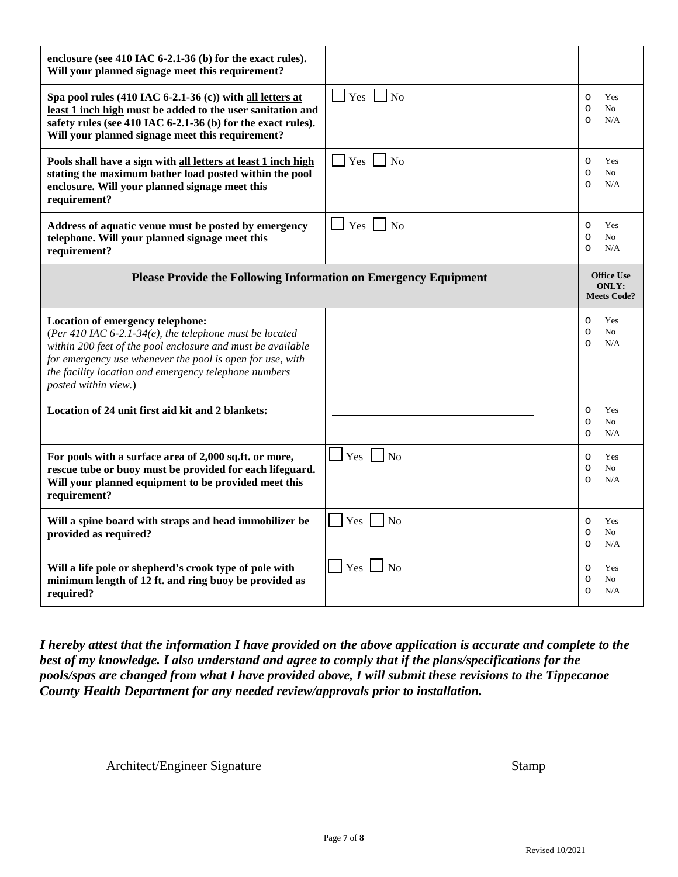| enclosure (see 410 IAC 6-2.1-36 (b) for the exact rules).<br>Will your planned signage meet this requirement?                                                                                                                                                                                            |                         |                                                               |
|----------------------------------------------------------------------------------------------------------------------------------------------------------------------------------------------------------------------------------------------------------------------------------------------------------|-------------------------|---------------------------------------------------------------|
| Spa pool rules (410 IAC 6-2.1-36 (c)) with all letters at<br>least 1 inch high must be added to the user sanitation and<br>safety rules (see 410 IAC 6-2.1-36 (b) for the exact rules).<br>Will your planned signage meet this requirement?                                                              | $\exists$ Yes $\Box$ No | Yes<br>$\circ$<br>N <sub>0</sub><br>$\circ$<br>N/A<br>$\circ$ |
| Pools shall have a sign with all letters at least 1 inch high<br>stating the maximum bather load posted within the pool<br>enclosure. Will your planned signage meet this<br>requirement?                                                                                                                | $\Box$ Yes $\Box$ No    | Yes<br>$\circ$<br>N <sub>o</sub><br>$\circ$<br>N/A<br>$\circ$ |
| Address of aquatic venue must be posted by emergency<br>telephone. Will your planned signage meet this<br>requirement?                                                                                                                                                                                   | $Yes \mid \mid No$      | Yes<br>$\circ$<br>No<br>$\circ$<br>N/A<br>$\circ$             |
| Please Provide the Following Information on Emergency Equipment                                                                                                                                                                                                                                          |                         | <b>Office Use</b><br><b>ONLY:</b><br><b>Meets Code?</b>       |
| Location of emergency telephone:<br>(Per 410 IAC 6-2.1-34(e), the telephone must be located<br>within 200 feet of the pool enclosure and must be available<br>for emergency use whenever the pool is open for use, with<br>the facility location and emergency telephone numbers<br>posted within view.) |                         | Yes<br>O<br>$\circ$<br>No<br>N/A<br>$\circ$                   |
| Location of 24 unit first aid kit and 2 blankets:                                                                                                                                                                                                                                                        |                         | Yes<br>$\circ$<br>No<br>$\circ$<br>N/A<br>$\circ$             |
| For pools with a surface area of 2,000 sq.ft. or more,<br>rescue tube or buoy must be provided for each lifeguard.<br>Will your planned equipment to be provided meet this                                                                                                                               | $\Box$ Yes $\Box$ No    | Yes<br>$\circ$<br>$\circ$<br>No                               |
| requirement?                                                                                                                                                                                                                                                                                             |                         | N/A<br>$\circ$                                                |
| Will a spine board with straps and head immobilizer be<br>provided as required?                                                                                                                                                                                                                          | $\vert$ Yes $\vert$ No  | Yes<br>$\circ$<br>No<br>$\circ$<br>N/A<br>$\circ$             |

*I hereby attest that the information I have provided on the above application is accurate and complete to the best of my knowledge. I also understand and agree to comply that if the plans/specifications for the pools/spas are changed from what I have provided above, I will submit these revisions to the Tippecanoe County Health Department for any needed review/approvals prior to installation.*

Architect/Engineer Signature Stamp